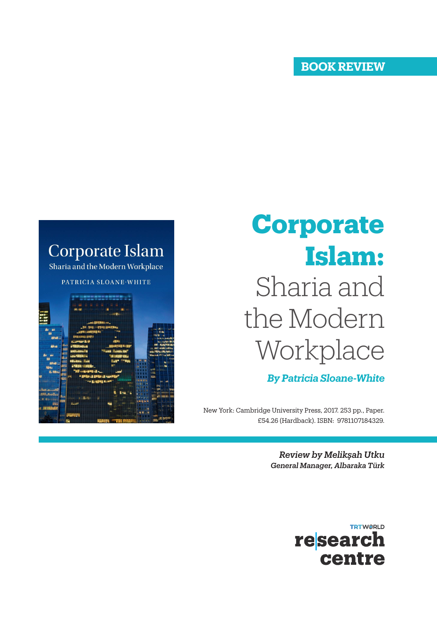## **BOOK REVIEW**

## **Corporate Islam** Sharia and the Modern Workplace PATRICIA SLOANE-WHITE

## Sharia and the Modern Workplace **Corporate Islam:**

*By Patricia Sloane-White*

New York: Cambridge University Press, 2017. 253 pp., Paper. £54.26 (Hardback). ISBN: 9781107184329.

> *Review by Melikşah Utku General Manager, Albaraka Türk*

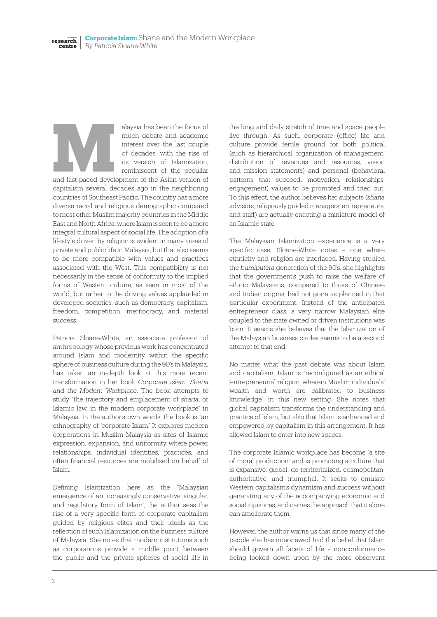alaysia has been the focus of much debate and academic interest over the last couple of decades, with the rise of its version of Islamization, reminiscent of the peculiar alaysia has been the focus of<br>much debate and academic<br>interest over the last couple<br>of decades, with the rise of<br>its version of Islamization,<br>reminiscent of the peculiar<br>and fast-paced development of the Asian version of

capitalism several decades ago in the neighboring countries of Southeast Pacific. The country has a more diverse racial and religious demographic compared to most other Muslim majority countries in the Middle East and North Africa, where Islam is seen to be a more integral cultural aspect of social life. The adoption of a lifestyle driven by religion is evident in many areas of private and public life in Malaysia, but that also seems to be more compatible with values and practices associated with the West. This compatibility is not necessarily in the sense of conformity to the implied forms of Western culture, as seen in most of the world, but rather to the driving values applauded in developed societies, such as democracy, capitalism, freedom, competition, meritocracy, and material success.

Patricia Sloane-White, an associate professor of anthropology whose previous work has concentrated around Islam and modernity within the specific sphere of business culture during the 90's in Malaysia, has taken an in-depth look at this more recent transformation in her book *Corporate Islam: Sharia and the Modern Workplace*. The book attempts to study "the trajectory and emplacement of *sharia*, or Islamic law, in the modern corporate workplace" in Malaysia. In the author's own words, the book is "an ethnography of 'corporate Islam.' It explores modern corporations in Muslim Malaysia as sites of Islamic expression, expansion, and uniformity where power, relationships, individual identities, practices, and often financial resources are mobilized on behalf of Islam.

Defining Islamization here as the "Malaysian emergence of an increasingly conservative, singular, and regulatory form of Islam", the author sees the rise of a very specific form of corporate capitalism guided by religious elites and their ideals as the reflection of such Islamization on the business culture of Malaysia. She notes that modern institutions such as corporations provide a middle point between the public and the private spheres of social life in

the long and daily stretch of time and space people live through. As such, corporate (office) life and culture provide fertile ground for both political (such as hierarchical organization of management, distribution of revenues and resources, vision and mission statements) and personal (behavioral patterns that succeed, motivation, relationships, engagement) values to be promoted and tried out. To this effect, the author believes her subjects (*sharia* advisors, religiously guided managers, entrepreneurs, and staff) are actually enacting a miniature model of an Islamic state.

The Malaysian Islamization experience is a very specific case, Sloane-White notes – one where ethnicity and religion are interlaced. Having studied the *bumiputera* generation of the 90's, she highlights that the government's push to raise the welfare of ethnic Malaysians, compared to those of Chinese and Indian origins, had not gone as planned in that particular experiment. Instead of the anticipated entrepreneur class, a very narrow Malaysian elite coupled to the state owned or driven institutions was born. It seems she believes that the Islamization of the Malaysian business circles seems to be a second attempt to that end.

No matter what the past debate was about Islam and capitalism, Islam is "reconfigured as an ethical 'entrepreneurial religion' wherein Muslim individuals' wealth and worth are calibrated to business knowledge" in this new setting. She notes that global capitalism transforms the understanding and practice of Islam, but also that Islam is enhanced and empowered by capitalism in this arrangement. It has allowed Islam to enter into new spaces.

The corporate Islamic workplace has become "a site of moral production" and is promoting a culture that is expansive, global, de-territorialized, cosmopolitan, authoritative, and triumphal. It seeks to emulate Western capitalism's dynamism and success without generating any of the accompanying economic and social injustices, and carries the approach that it alone can ameliorate them.

However, the author warns us that since many of the people she has interviewed had the belief that Islam should govern all facets of life – nonconformance being looked down upon by the more observant